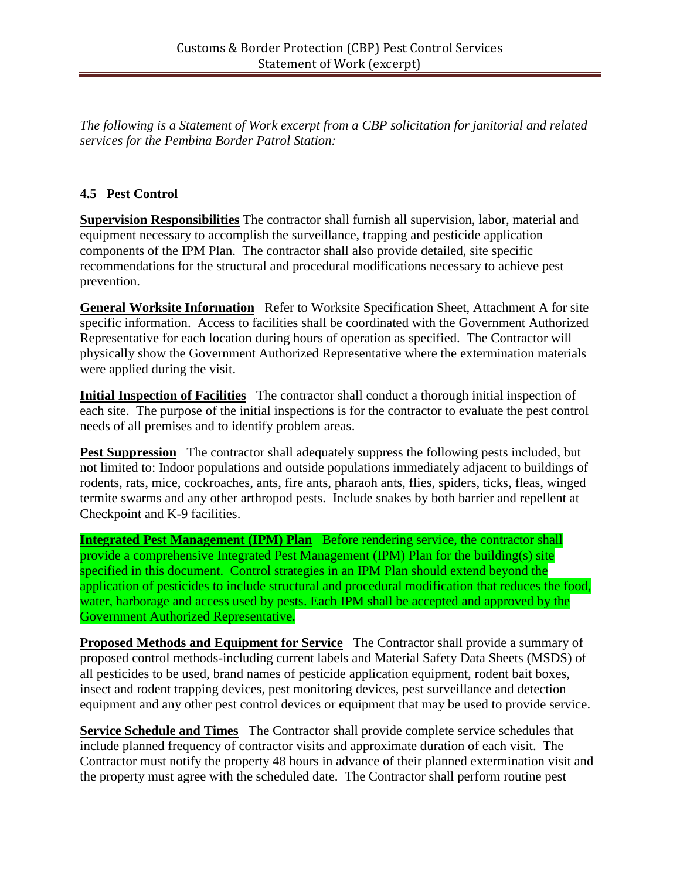*The following is a Statement of Work excerpt from a CBP solicitation for janitorial and related services for the Pembina Border Patrol Station:*

## **4.5 Pest Control**

**Supervision Responsibilities** The contractor shall furnish all supervision, labor, material and equipment necessary to accomplish the surveillance, trapping and pesticide application components of the IPM Plan. The contractor shall also provide detailed, site specific recommendations for the structural and procedural modifications necessary to achieve pest prevention.

**General Worksite Information** Refer to Worksite Specification Sheet, Attachment A for site specific information. Access to facilities shall be coordinated with the Government Authorized Representative for each location during hours of operation as specified. The Contractor will physically show the Government Authorized Representative where the extermination materials were applied during the visit.

**Initial Inspection of Facilities** The contractor shall conduct a thorough initial inspection of each site. The purpose of the initial inspections is for the contractor to evaluate the pest control needs of all premises and to identify problem areas.

**Pest Suppression** The contractor shall adequately suppress the following pests included, but not limited to: Indoor populations and outside populations immediately adjacent to buildings of rodents, rats, mice, cockroaches, ants, fire ants, pharaoh ants, flies, spiders, ticks, fleas, winged termite swarms and any other arthropod pests. Include snakes by both barrier and repellent at Checkpoint and K-9 facilities.

**Integrated Pest Management (IPM) Plan** Before rendering service, the contractor shall provide a comprehensive Integrated Pest Management (IPM) Plan for the building(s) site specified in this document. Control strategies in an IPM Plan should extend beyond the application of pesticides to include structural and procedural modification that reduces the food, water, harborage and access used by pests. Each IPM shall be accepted and approved by the Government Authorized Representative.

**Proposed Methods and Equipment for Service** The Contractor shall provide a summary of proposed control methods-including current labels and Material Safety Data Sheets (MSDS) of all pesticides to be used, brand names of pesticide application equipment, rodent bait boxes, insect and rodent trapping devices, pest monitoring devices, pest surveillance and detection equipment and any other pest control devices or equipment that may be used to provide service.

**Service Schedule and Times** The Contractor shall provide complete service schedules that include planned frequency of contractor visits and approximate duration of each visit. The Contractor must notify the property 48 hours in advance of their planned extermination visit and the property must agree with the scheduled date. The Contractor shall perform routine pest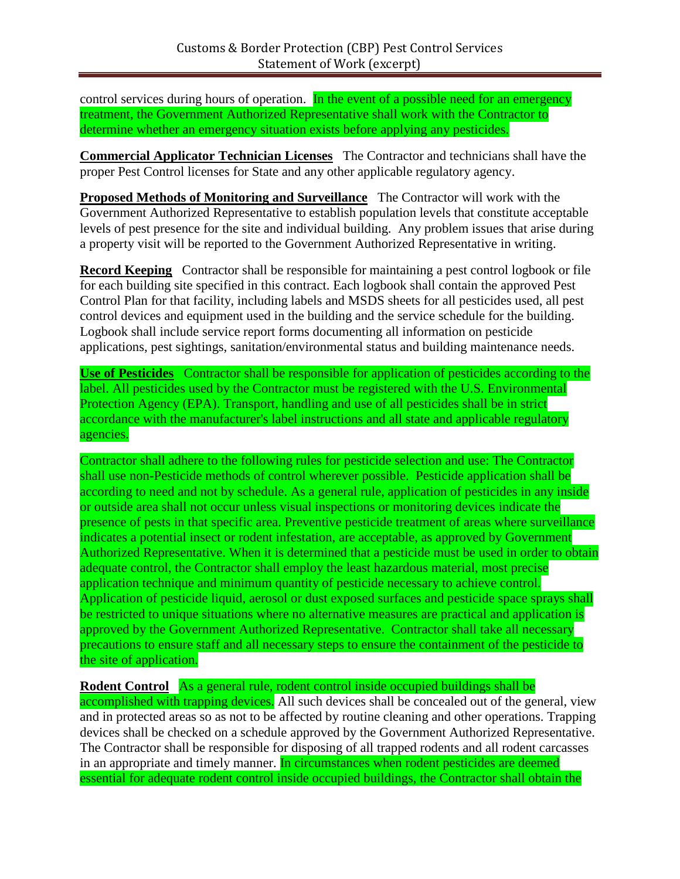control services during hours of operation. In the event of a possible need for an emergency treatment, the Government Authorized Representative shall work with the Contractor to determine whether an emergency situation exists before applying any pesticides.

**Commercial Applicator Technician Licenses** The Contractor and technicians shall have the proper Pest Control licenses for State and any other applicable regulatory agency.

**Proposed Methods of Monitoring and Surveillance** The Contractor will work with the Government Authorized Representative to establish population levels that constitute acceptable levels of pest presence for the site and individual building. Any problem issues that arise during a property visit will be reported to the Government Authorized Representative in writing.

**Record Keeping** Contractor shall be responsible for maintaining a pest control logbook or file for each building site specified in this contract. Each logbook shall contain the approved Pest Control Plan for that facility, including labels and MSDS sheets for all pesticides used, all pest control devices and equipment used in the building and the service schedule for the building. Logbook shall include service report forms documenting all information on pesticide applications, pest sightings, sanitation/environmental status and building maintenance needs.

**Use of Pesticides** Contractor shall be responsible for application of pesticides according to the label. All pesticides used by the Contractor must be registered with the U.S. Environmental Protection Agency (EPA). Transport, handling and use of all pesticides shall be in strict accordance with the manufacturer's label instructions and all state and applicable regulatory agencies.

Contractor shall adhere to the following rules for pesticide selection and use: The Contractor shall use non-Pesticide methods of control wherever possible. Pesticide application shall be according to need and not by schedule. As a general rule, application of pesticides in any inside or outside area shall not occur unless visual inspections or monitoring devices indicate the presence of pests in that specific area. Preventive pesticide treatment of areas where surveillance indicates a potential insect or rodent infestation, are acceptable, as approved by Government Authorized Representative. When it is determined that a pesticide must be used in order to obtain adequate control, the Contractor shall employ the least hazardous material, most precise application technique and minimum quantity of pesticide necessary to achieve control. Application of pesticide liquid, aerosol or dust exposed surfaces and pesticide space sprays shall be restricted to unique situations where no alternative measures are practical and application is approved by the Government Authorized Representative. Contractor shall take all necessary precautions to ensure staff and all necessary steps to ensure the containment of the pesticide to the site of application.

**Rodent Control** As a general rule, rodent control inside occupied buildings shall be accomplished with trapping devices. All such devices shall be concealed out of the general, view and in protected areas so as not to be affected by routine cleaning and other operations. Trapping devices shall be checked on a schedule approved by the Government Authorized Representative. The Contractor shall be responsible for disposing of all trapped rodents and all rodent carcasses in an appropriate and timely manner. In circumstances when rodent pesticides are deemed essential for adequate rodent control inside occupied buildings, the Contractor shall obtain the